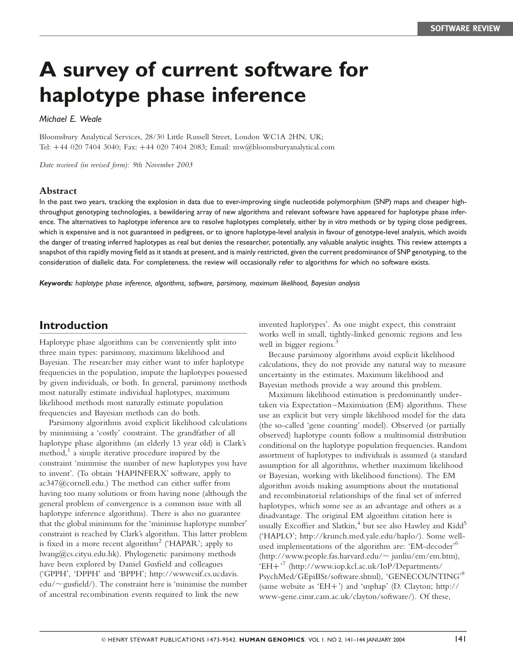# A survey of current software for haplotype phase inference

### Michael E. Weale

Bloomsbury Analytical Services, 28/30 Little Russell Street, London WC1A 2HN, UK; Tel: +44 020 7404 3040; Fax: +44 020 7404 2083; Email: mw@bloomsburyanalytical.com

Date received (in revised form): 9th November 2003

#### Abstract

In the past two years, tracking the explosion in data due to ever-improving single nucleotide polymorphism (SNP) maps and cheaper highthroughput genotyping technologies, a bewildering array of new algorithms and relevant software have appeared for haplotype phase inference. The alternatives to haplotype inference are to resolve haplotypes completely, either by in vitro methods or by typing close pedigrees, which is expensive and is not guaranteed in pedigrees, or to ignore haplotype-level analysis in favour of genotype-level analysis, which avoids the danger of treating inferred haplotypes as real but denies the researcher, potentially, any valuable analytic insights. This review attempts a snapshot of this rapidly moving field as it stands at present, and is mainly restricted, given the current predominance of SNP genotyping, to the consideration of diallelic data. For completeness, the review will occasionally refer to algorithms for which no software exists.

Keywords: haplotype phase inference, algorithms, software, parsimony, maximum likelihood, Bayesian analysis

## Introduction

Haplotype phase algorithms can be conveniently split into three main types: parsimony, maximum likelihood and Bayesian. The researcher may either want to infer haplotype frequencies in the population, impute the haplotypes possessed by given individuals, or both. In general, parsimony methods most naturally estimate individual haplotypes, maximum likelihood methods most naturally estimate population frequencies and Bayesian methods can do both.

Parsimony algorithms avoid explicit likelihood calculations by minimising a 'costly' constraint. The grandfather of all haplotype phase algorithms (an elderly 13 year old) is Clark's method, $\frac{1}{x}$  a simple iterative procedure inspired by the constraint 'minimise the number of new haplotypes you have to invent'. (To obtain 'HAPINFERX' software, apply to ac347@cornell.edu.) The method can either suffer from having too many solutions or from having none (although the general problem of convergence is a common issue with all haplotype inference algorithms). There is also no guarantee that the global minimum for the 'minimise haplotype number' constraint is reached by Clark's algorithm. This latter problem is fixed in a more recent algorithm<sup>2</sup> ('HAPAR': apply to lwang@cs.cityu.edu.hk). Phylogenetic parsimony methods have been explored by Daniel Gusfield and colleagues ('GPPH', 'DPPH' and 'BPPH'; http://wwwcsif.cs.ucdavis.  $edu$ / $\sim$  gusfield/). The constraint here is 'minimise the number of ancestral recombination events required to link the new

invented haplotypes'. As one might expect, this constraint works well in small, tightly-linked genomic regions and less well in bigger regions.

Because parsimony algorithms avoid explicit likelihood calculations, they do not provide any natural way to measure uncertainty in the estimates. Maximum likelihood and Bayesian methods provide a way around this problem.

Maximum likelihood estimation is predominantly undertaken via Expectation–Maximisation (EM) algorithms. These use an explicit but very simple likelihood model for the data (the so-called 'gene counting' model). Observed (or partially observed) haplotype counts follow a multinomial distribution conditional on the haplotype population frequencies. Random assortment of haplotypes to individuals is assumed (a standard assumption for all algorithms, whether maximum likelihood or Bayesian, working with likelihood functions). The EM algorithm avoids making assumptions about the mutational and recombinatorial relationships of the final set of inferred haplotypes, which some see as an advantage and others as a disadvantage. The original EM algorithm citation here is usually Excoffier and Slatkin, $4$  but see also Hawley and Kidd<sup>5</sup> ('HAPLO'; http://krunch.med.yale.edu/haplo/). Some wellused implementations of the algorithm are: 'EM-decoder'<sup>6</sup>  $(\text{http://www.people.fas.harvard.edu/~junliu/en/en.htm}),$ 'EH+'7 (http://www.iop.kcl.ac.uk/IoP/Departments/ PsychMed/GEpiBSt/software.shtml), 'GENECOUNTING'<sup>8</sup> (same website as  $EH + \gamma$ ) and 'snphap' (D. Clayton; http:// www-gene.cimr.cam.ac.uk/clayton/software/). Of these,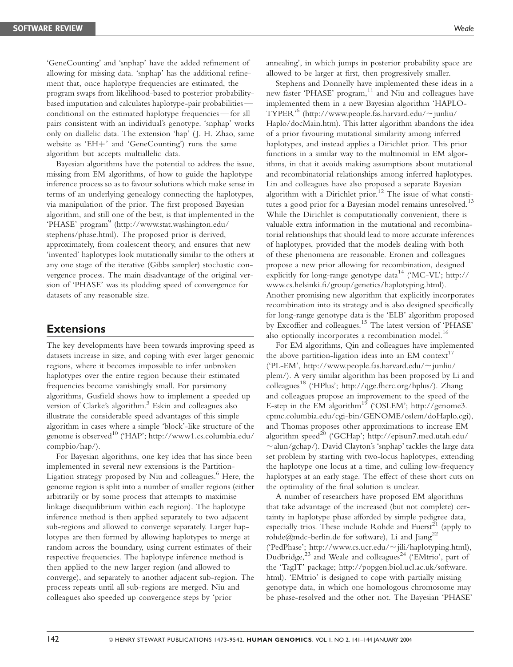'GeneCounting' and 'snphap' have the added refinement of allowing for missing data. 'snphap' has the additional refinement that, once haplotype frequencies are estimated, the program swaps from likelihood-based to posterior probabilitybased imputation and calculates haplotype-pair probabilities conditional on the estimated haplotype frequencies — for all pairs consistent with an individual's genotype. 'snphap' works only on diallelic data. The extension 'hap' (J. H. Zhao, same website as 'EH $+$ ' and 'GeneCounting') runs the same algorithm but accepts multiallelic data.

Bayesian algorithms have the potential to address the issue, missing from EM algorithms, of how to guide the haplotype inference process so as to favour solutions which make sense in terms of an underlying genealogy connecting the haplotypes, via manipulation of the prior. The first proposed Bayesian algorithm, and still one of the best, is that implemented in the 'PHASE' program<sup>9</sup> (http://www.stat.washington.edu/ stephens/phase.html). The proposed prior is derived, approximately, from coalescent theory, and ensures that new 'invented' haplotypes look mutationally similar to the others at any one stage of the iterative (Gibbs sampler) stochastic convergence process. The main disadvantage of the original version of 'PHASE' was its plodding speed of convergence for datasets of any reasonable size.

## **Extensions**

The key developments have been towards improving speed as datasets increase in size, and coping with ever larger genomic regions, where it becomes impossible to infer unbroken haplotypes over the entire region because their estimated frequencies become vanishingly small. For parsimony algorithms, Gusfield shows how to implement a speeded up version of Clarke's algorithm.<sup>3</sup> Eskin and colleagues also illustrate the considerable speed advantages of this simple algorithm in cases where a simple 'block'-like structure of the genome is observed<sup>10</sup> ('HAP'; http://www1.cs.columbia.edu/ compbio/hap/).

For Bayesian algorithms, one key idea that has since been implemented in several new extensions is the Partition-Ligation strategy proposed by Niu and colleagues.<sup>6</sup> Here, the genome region is split into a number of smaller regions (either arbitrarily or by some process that attempts to maximise linkage disequilibrium within each region). The haplotype inference method is then applied separately to two adjacent sub-regions and allowed to converge separately. Larger haplotypes are then formed by allowing haplotypes to merge at random across the boundary, using current estimates of their respective frequencies. The haplotype inference method is then applied to the new larger region (and allowed to converge), and separately to another adjacent sub-region. The process repeats until all sub-regions are merged. Niu and colleagues also speeded up convergence steps by 'prior

annealing', in which jumps in posterior probability space are allowed to be larger at first, then progressively smaller.

Stephens and Donnelly have implemented these ideas in a new faster 'PHASE' program,<sup>11</sup> and Niu and colleagues have implemented them in a new Bayesian algorithm 'HAPLO- $TYPER<sup>6</sup>$  (http://www.people.fas.harvard.edu/ $\sim$ junliu/ Haplo/docMain.htm). This latter algorithm abandons the idea of a prior favouring mutational similarity among inferred haplotypes, and instead applies a Dirichlet prior. This prior functions in a similar way to the multinomial in EM algorithms, in that it avoids making assumptions about mutational and recombinatorial relationships among inferred haplotypes. Lin and colleagues have also proposed a separate Bayesian algorithm with a Dirichlet prior.<sup>12</sup> The issue of what constitutes a good prior for a Bayesian model remains unresolved.<sup>13</sup> While the Dirichlet is computationally convenient, there is valuable extra information in the mutational and recombinatorial relationships that should lead to more accurate inferences of haplotypes, provided that the models dealing with both of these phenomena are reasonable. Eronen and colleagues propose a new prior allowing for recombination, designed explicitly for long-range genotype data<sup>14</sup> ('MC-VL'; http:// www.cs.helsinki.fi/group/genetics/haplotyping.html). Another promising new algorithm that explicitly incorporates recombination into its strategy and is also designed specifically for long-range genotype data is the 'ELB' algorithm proposed by Excoffier and colleagues.<sup>15</sup> The latest version of 'PHASE' also optionally incorporates a recombination model.<sup>16</sup>

For EM algorithms, Qin and colleagues have implemented the above partition-ligation ideas into an EM context<sup>17</sup> ('PL-EM', http://www.people.fas.harvard.edu/ $\sim$ junliu/ plem/). A very similar algorithm has been proposed by Li and colleagues<sup>18</sup> ('HPlus'; http://qge.fhcrc.org/hplus/). Zhang and colleagues propose an improvement to the speed of the E-step in the EM algorithm<sup>19</sup> ('OSLEM'; http://genome3. cpmc.columbia.edu/cgi-bin/GENOME/oslem/doHaplo.cgi), and Thomas proposes other approximations to increase EM algorithm speed<sup>20</sup> ('GCHap'; http://episun7.med.utah.edu/  $\sim$ alun/gchap/). David Clayton's 'snphap' tackles the large data set problem by starting with two-locus haplotypes, extending the haplotype one locus at a time, and culling low-frequency haplotypes at an early stage. The effect of these short cuts on the optimality of the final solution is unclear.

A number of researchers have proposed EM algorithms that take advantage of the increased (but not complete) certainty in haplotype phase afforded by simple pedigree data, especially trios. These include Rohde and Fuerst<sup>21</sup> (apply to rohde@mdc-berlin.de for software), Li and Jiang<sup>22</sup> ('PedPhase'; http://www.cs.ucr.edu/~jili/haplotyping.html), Dudbridge, $^{23}$  and Weale and colleagues<sup>24</sup> ('EMtrio', part of the 'TagIT' package; http://popgen.biol.ucl.ac.uk/software. html). 'EMtrio' is designed to cope with partially missing genotype data, in which one homologous chromosome may be phase-resolved and the other not. The Bayesian 'PHASE'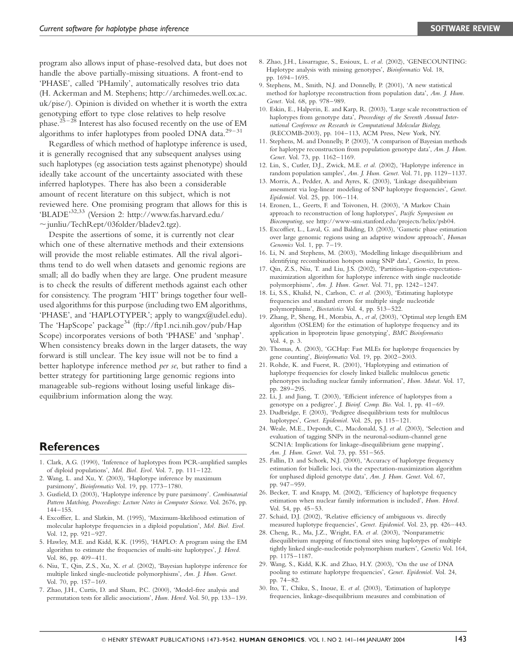program also allows input of phase-resolved data, but does not handle the above partially-missing situations. A front-end to 'PHASE', called 'PHamily', automatically resolves trio data (H. Ackerman and M. Stephens; http://archimedes.well.ox.ac. uk/pise/). Opinion is divided on whether it is worth the extra genotyping effort to type close relatives to help resolve phase. $25-28$  Interest has also focused recently on the use of EM algorithms to infer haplotypes from pooled DNA data. $29-31$ 

Regardless of which method of haplotype inference is used, it is generally recognised that any subsequent analyses using such haplotypes (eg association tests against phenotype) should ideally take account of the uncertainty associated with these inferred haplotypes. There has also been a considerable amount of recent literature on this subject, which is not reviewed here. One promising program that allows for this is 'BLADE'32,33 (Version 2: http://www.fas.harvard.edu/  $\sim$ junliu/TechRept/03folder/bladev2.tgz).

Despite the assertions of some, it is currently not clear which one of these alternative methods and their extensions will provide the most reliable estimates. All the rival algorithms tend to do well when datasets and genomic regions are small; all do badly when they are large. One prudent measure is to check the results of different methods against each other for consistency. The program 'HIT' brings together four wellused algorithms for this purpose (including two EM algorithms, 'PHASE', and 'HAPLOTYPER'; apply to wangx@udel.edu). The 'HapScope' package<sup>34</sup> (ftp://ftp1.nci.nih.gov/pub/Hap Scope) incorporates versions of both 'PHASE' and 'snphap'. When consistency breaks down in the larger datasets, the way forward is still unclear. The key issue will not be to find a better haplotype inference method per se, but rather to find a better strategy for partitioning large genomic regions into manageable sub-regions without losing useful linkage disequilibrium information along the way.

# **References**

- 1. Clark, A.G. (1990), 'Inference of haplotypes from PCR-amplified samples of diploid populations', Mol. Biol. Evol. Vol. 7, pp. 111–122.
- 2. Wang, L. and Xu, Y. (2003), 'Haplotype inference by maximum parsimony', Bioinformatics Vol. 19, pp. 1773-1780.
- 3. Gusfield, D. (2003), 'Haplotype inference by pure parsimony'. Combinatorial Pattern Matching, Proceedings: Lecture Notes in Computer Science. Vol. 2676, pp. 144–155.
- 4. Excoffier, L. and Slatkin, M. (1995), 'Maximum-likelihood estimation of molecular haplotype frequencies in a diploid population', Mol. Biol. Evol. Vol. 12, pp. 921–927.
- 5. Hawley, M.E. and Kidd, K.K. (1995), 'HAPLO: A program using the EM algorithm to estimate the frequencies of multi-site haplotypes', J. Hered. Vol. 86, pp. 409–411.
- 6. Niu, T., Qin, Z.S., Xu, X. et al. (2002), 'Bayesian haplotype inference for multiple linked single-nucleotide polymorphisms', Am. J. Hum. Genet. Vol. 70, pp. 157–169.
- 7. Zhao, J.H., Curtis, D. and Sham, P.C. (2000), 'Model-free analysis and permutation tests for allelic associations', Hum. Hered. Vol. 50, pp. 133–139.
- 8. Zhao, J.H., Lissarrague, S., Essioux, L. et al. (2002), 'GENECOUNTING: Haplotype analysis with missing genotypes', Bioinformatics Vol. 18, pp. 1694–1695.
- 9. Stephens, M., Smith, N.J. and Donnelly, P. (2001), 'A new statistical method for haplotype reconstruction from population data', Am. J. Hum. Genet. Vol. 68, pp. 978–989.
- 10. Eskin, E., Halperin, E. and Karp, R. (2003), 'Large scale reconstruction of haplotypes from genotype data', Proceedings of the Seventh Annual International Conference on Research in Computational Molecular Biology, (RECOMB-2003), pp. 104–113, ACM Press, New York, NY.
- 11. Stephens, M. and Donnelly, P. (2003), 'A comparison of Bayesian methods for haplotype reconstruction from population genotype data', Am. J. Hum. Genet. Vol. 73, pp. 1162–1169.
- 12. Lin, S., Cutler, D.J., Zwick, M.E. et al. (2002), 'Haplotype inference in random population samples', Am. J. Hum. Genet. Vol. 71, pp. 1129–1137.
- 13. Morris, A., Pedder, A. and Ayres, K. (2003), 'Linkage disequilibrium assessment via log-linear modeling of SNP haplotype frequencies', Genet. Epidemiol. Vol. 25, pp. 106–114.
- 14. Eronen, L., Geerts, F. and Toivonen, H. (2003), 'A Markov Chain approach to reconstruction of long haplotypes', Pacific Symposium on Biocomputing, see http://www-smi.stanford.edu/projects/helix/psb04.
- 15. Excoffier, L., Laval, G. and Balding, D. (2003), 'Gametic phase estimation over large genomic regions using an adaptive window approach', Human Genomics Vol. 1, pp. 7–19.
- 16. Li, N. and Stephens, M. (2003), 'Modelling linkage disequilibrium and identifying recombination hotspots using SNP data', Genetics, In press.
- 17. Qin, Z.S., Niu, T. and Liu, J.S. (2002), 'Partition-ligation-expectationmaximization algorithm for haplotype inference with single nucleotide polymorphisms', Am. J. Hum. Genet. Vol. 71, pp. 1242–1247.
- 18. Li, S.S., Khalid, N., Carlson, C. et al. (2003), 'Estimating haplotype frequencies and standard errors for multiple single nucleotide polymorphisms', Biostatistics Vol. 4, pp. 513–522.
- 19. Zhang, P., Sheng, H., Morabia, A., et al, (2003), 'Optimal step length EM algorithm (OSLEM) for the estimation of haplotype frequency and its application in lipoprotein lipase genotyping', BMC Bioinformatics Vol. 4, p. 3.
- 20. Thomas, A. (2003), 'GCHap: Fast MLEs for haplotype frequencies by gene counting', Bioinformatics Vol. 19, pp. 2002–2003.
- 21. Rohde, K. and Fuerst, R. (2001), 'Haplotyping and estimation of haplotype frequencies for closely linked biallelic multilocus genetic phenotypes including nuclear family information', Hum. Mutat. Vol. 17, pp. 289–295.
- 22. Li, J. and Jiang, T. (2003), 'Efficient inference of haplotypes from a genotype on a pedigree', J. Bioinf. Comp. Bio. Vol. 1, pp. 41–69.
- 23. Dudbridge, F. (2003), 'Pedigree disequilibrium tests for multilocus haplotypes', Genet. Epidemiol. Vol. 25, pp. 115–121.
- 24. Weale, M.E., Depondt, C., Macdonald, S.J. et al. (2003), 'Selection and evaluation of tagging SNPs in the neuronal-sodium-channel gene SCN1A: Implications for linkage-disequilibrium gene mapping', Am. J. Hum. Genet. Vol. 73, pp. 551–565.
- 25. Fallin, D. and Schork, N.J. (2000), 'Accuracy of haplotype frequency estimation for biallelic loci, via the expectation-maximization algorithm for unphased diploid genotype data', Am. J. Hum. Genet. Vol. 67, pp. 947–959.
- 26. Becker, T. and Knapp, M. (2002), 'Efficiency of haplotype frequency estimation when nuclear family information is included', Hum. Hered. Vol. 54, pp. 45–53.
- 27. Schaid, D.J. (2002), 'Relative efficiency of ambiguous vs. directly measured haplotype frequencies', Genet. Epidemiol. Vol. 23, pp. 426–443.
- 28. Cheng, R., Ma, J.Z., Wright, F.A. et al. (2003), 'Nonparametric disequilibrium mapping of functional sites using haplotypes of multiple tightly linked single-nucleotide polymorphism markers', Genetics Vol. 164, pp. 1175–1187.
- 29. Wang, S., Kidd, K.K. and Zhao, H.Y. (2003), 'On the use of DNA pooling to estimate haplotype frequencies', Genet. Epidemiol. Vol. 24, pp. 74–82.
- 30. Ito, T., Chiku, S., Inoue, E. et al. (2003), 'Estimation of haplotype frequencies, linkage-disequilibrium measures and combination of